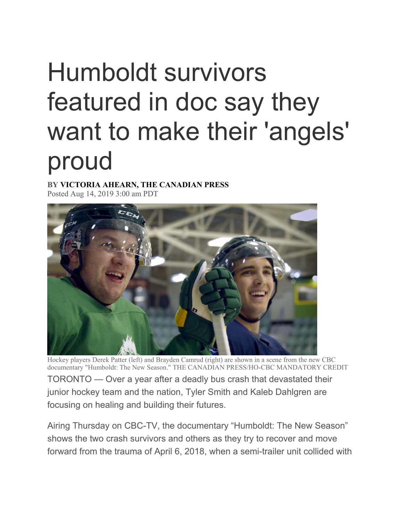## Humboldt survivors featured in doc say they want to make their 'angels' proud

**BY VICTORIA AHEARN, THE CANADIAN PRESS**  Posted Aug 14, 2019 3:00 am PDT



Hockey players Derek Patter (left) and Brayden Camrud (right) are shown in a scene from the new CBC documentary "Humboldt: The New Season." THE CANADIAN PRESS/HO-CBC MANDATORY CREDIT TORONTO — Over a year after a deadly bus crash that devastated their junior hockey team and the nation, Tyler Smith and Kaleb Dahlgren are focusing on healing and building their futures.

Airing Thursday on CBC-TV, the documentary "Humboldt: The New Season" shows the two crash survivors and others as they try to recover and move forward from the trauma of April 6, 2018, when a semi-trailer unit collided with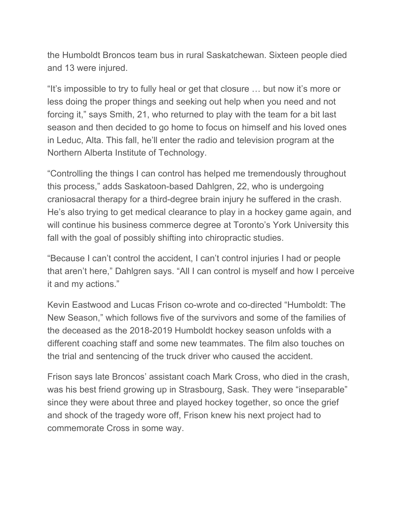the Humboldt Broncos team bus in rural Saskatchewan. Sixteen people died and 13 were injured.

"It's impossible to try to fully heal or get that closure … but now it's more or less doing the proper things and seeking out help when you need and not forcing it," says Smith, 21, who returned to play with the team for a bit last season and then decided to go home to focus on himself and his loved ones in Leduc, Alta. This fall, he'll enter the radio and television program at the Northern Alberta Institute of Technology.

"Controlling the things I can control has helped me tremendously throughout this process," adds Saskatoon-based Dahlgren, 22, who is undergoing craniosacral therapy for a third-degree brain injury he suffered in the crash. He's also trying to get medical clearance to play in a hockey game again, and will continue his business commerce degree at Toronto's York University this fall with the goal of possibly shifting into chiropractic studies.

"Because I can't control the accident, I can't control injuries I had or people that aren't here," Dahlgren says. "All I can control is myself and how I perceive it and my actions."

Kevin Eastwood and Lucas Frison co-wrote and co-directed "Humboldt: The New Season," which follows five of the survivors and some of the families of the deceased as the 2018-2019 Humboldt hockey season unfolds with a different coaching staff and some new teammates. The film also touches on the trial and sentencing of the truck driver who caused the accident.

Frison says late Broncos' assistant coach Mark Cross, who died in the crash, was his best friend growing up in Strasbourg, Sask. They were "inseparable" since they were about three and played hockey together, so once the grief and shock of the tragedy wore off, Frison knew his next project had to commemorate Cross in some way.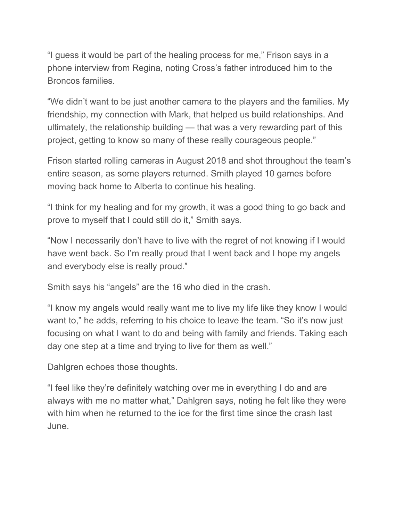"I guess it would be part of the healing process for me," Frison says in a phone interview from Regina, noting Cross's father introduced him to the Broncos families.

"We didn't want to be just another camera to the players and the families. My friendship, my connection with Mark, that helped us build relationships. And ultimately, the relationship building — that was a very rewarding part of this project, getting to know so many of these really courageous people."

Frison started rolling cameras in August 2018 and shot throughout the team's entire season, as some players returned. Smith played 10 games before moving back home to Alberta to continue his healing.

"I think for my healing and for my growth, it was a good thing to go back and prove to myself that I could still do it," Smith says.

"Now I necessarily don't have to live with the regret of not knowing if I would have went back. So I'm really proud that I went back and I hope my angels and everybody else is really proud."

Smith says his "angels" are the 16 who died in the crash.

"I know my angels would really want me to live my life like they know I would want to," he adds, referring to his choice to leave the team. "So it's now just focusing on what I want to do and being with family and friends. Taking each day one step at a time and trying to live for them as well."

Dahlgren echoes those thoughts.

"I feel like they're definitely watching over me in everything I do and are always with me no matter what," Dahlgren says, noting he felt like they were with him when he returned to the ice for the first time since the crash last June.